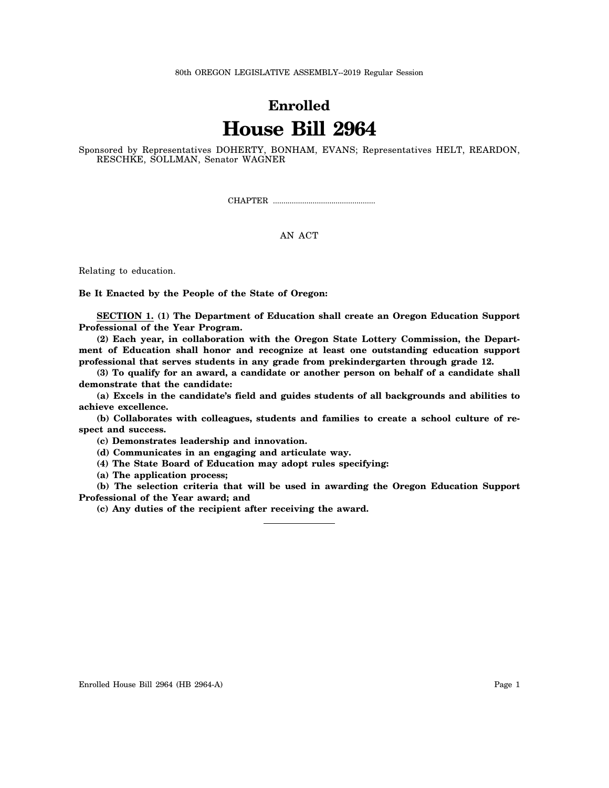## **Enrolled House Bill 2964**

Sponsored by Representatives DOHERTY, BONHAM, EVANS; Representatives HELT, REARDON, RESCHKE, SOLLMAN, Senator WAGNER

CHAPTER .................................................

## AN ACT

Relating to education.

**Be It Enacted by the People of the State of Oregon:**

**SECTION 1. (1) The Department of Education shall create an Oregon Education Support Professional of the Year Program.**

**(2) Each year, in collaboration with the Oregon State Lottery Commission, the Department of Education shall honor and recognize at least one outstanding education support professional that serves students in any grade from prekindergarten through grade 12.**

**(3) To qualify for an award, a candidate or another person on behalf of a candidate shall demonstrate that the candidate:**

**(a) Excels in the candidate's field and guides students of all backgrounds and abilities to achieve excellence.**

**(b) Collaborates with colleagues, students and families to create a school culture of respect and success.**

**(c) Demonstrates leadership and innovation.**

**(d) Communicates in an engaging and articulate way.**

**(4) The State Board of Education may adopt rules specifying:**

**(a) The application process;**

**(b) The selection criteria that will be used in awarding the Oregon Education Support Professional of the Year award; and**

**(c) Any duties of the recipient after receiving the award.**